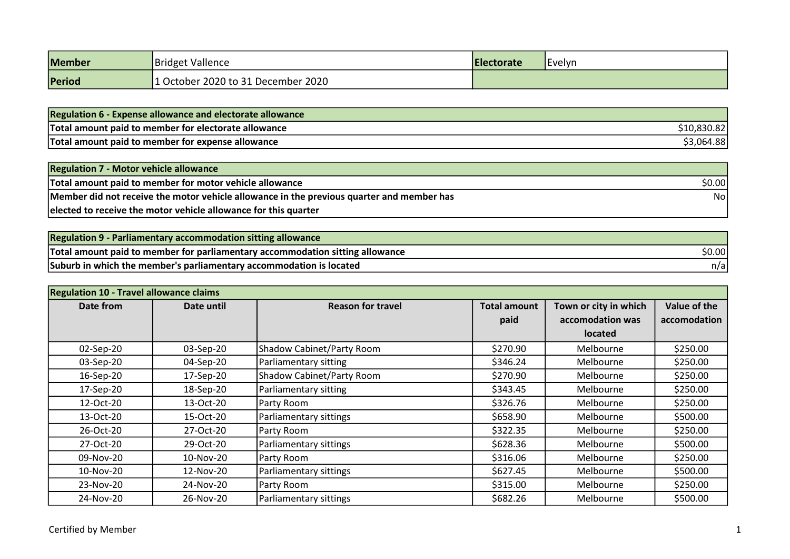| Member | Bridget Vallence                   | Electorate | Evelyn |
|--------|------------------------------------|------------|--------|
| Period | 1 October 2020 to 31 December 2020 |            |        |

| <b>Regulation 6 - Expense allowance and electorate allowance</b> |              |
|------------------------------------------------------------------|--------------|
| Total amount paid to member for electorate allowance             | \$10,830.821 |
| Total amount paid to member for expense allowance                | \$3,064.88   |

| <b>Regulation 7 - Motor vehicle allowance</b>                                             |        |
|-------------------------------------------------------------------------------------------|--------|
| Total amount paid to member for motor vehicle allowance                                   | \$0.00 |
| Member did not receive the motor vehicle allowance in the previous quarter and member has | Nol    |
| elected to receive the motor vehicle allowance for this quarter                           |        |

| Regulation 9 - Parliamentary accommodation sitting allowance                  |        |
|-------------------------------------------------------------------------------|--------|
| Total amount paid to member for parliamentary accommodation sitting allowance | \$0.00 |
| Suburb in which the member's parliamentary accommodation is located           | n/al   |

| <b>Regulation 10 - Travel allowance claims</b> |            |                           |                     |                       |              |
|------------------------------------------------|------------|---------------------------|---------------------|-----------------------|--------------|
| Date from                                      | Date until | <b>Reason for travel</b>  | <b>Total amount</b> | Town or city in which | Value of the |
|                                                |            |                           | paid                | accomodation was      | accomodation |
|                                                |            |                           |                     | <b>located</b>        |              |
| 02-Sep-20                                      | 03-Sep-20  | Shadow Cabinet/Party Room | \$270.90            | Melbourne             | \$250.00     |
| 03-Sep-20                                      | 04-Sep-20  | Parliamentary sitting     | \$346.24            | Melbourne             | \$250.00     |
| 16-Sep-20                                      | 17-Sep-20  | Shadow Cabinet/Party Room | \$270.90            | Melbourne             | \$250.00     |
| 17-Sep-20                                      | 18-Sep-20  | Parliamentary sitting     | \$343.45            | Melbourne             | \$250.00     |
| 12-Oct-20                                      | 13-Oct-20  | Party Room                | \$326.76            | Melbourne             | \$250.00     |
| 13-Oct-20                                      | 15-Oct-20  | Parliamentary sittings    | \$658.90            | Melbourne             | \$500.00     |
| 26-Oct-20                                      | 27-Oct-20  | Party Room                | \$322.35            | Melbourne             | \$250.00     |
| 27-Oct-20                                      | 29-Oct-20  | Parliamentary sittings    | \$628.36            | Melbourne             | \$500.00     |
| 09-Nov-20                                      | 10-Nov-20  | Party Room                | \$316.06            | Melbourne             | \$250.00     |
| 10-Nov-20                                      | 12-Nov-20  | Parliamentary sittings    | \$627.45            | Melbourne             | \$500.00     |
| 23-Nov-20                                      | 24-Nov-20  | Party Room                | \$315.00            | Melbourne             | \$250.00     |
| 24-Nov-20                                      | 26-Nov-20  | Parliamentary sittings    | \$682.26            | Melbourne             | \$500.00     |